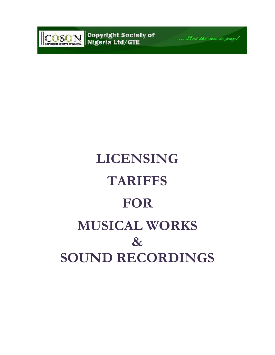

Copyright Society of<br>Nigeria Ltd/GTE



# **LICENSING TARIFFS FOR MUSICAL WORKS & SOUND RECORDINGS**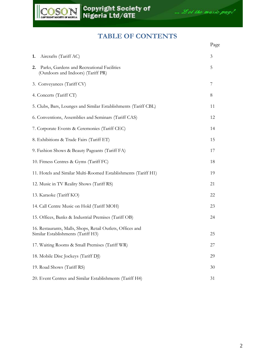



# **TABLE OF CONTENTS**

|                                                                                                  | Page |
|--------------------------------------------------------------------------------------------------|------|
| Aircrafts (Tariff AC)<br>1.                                                                      | 3    |
| Parks, Gardens and Recreational Facilities<br>2.<br>(Outdoors and Indoors) (Tariff PR)           | 5    |
| 3. Conveyances (Tariff CV)                                                                       | 7    |
| 4. Concerts (Tariff CT)                                                                          | 8    |
| 5. Clubs, Bars, Lounges and Similar Establishments (Tariff CBL)                                  | 11   |
| 6. Conventions, Assemblies and Seminars (Tariff CAS)                                             | 12   |
| 7. Corporate Events & Ceremonies (Tariff CEC)                                                    | 14   |
| 8. Exhibitions & Trade Fairs (Tariff ET)                                                         | 15   |
| 9. Fashion Shows & Beauty Pageants (Tariff FA)                                                   | 17   |
| 10. Fitness Centres & Gyms (Tariff FC)                                                           | 18   |
| 11. Hotels and Similar Multi-Roomed Establishments (Tariff H1)                                   | 19   |
| 12. Music in TV Reality Shows (Tariff RS)                                                        | 21   |
| 13. Karaoke (Tariff KO)                                                                          | 22   |
| 14. Call Centre Music on Hold (Tariff MOH)                                                       | 23   |
| 15. Offices, Banks & Industrial Premises (Tariff OB)                                             | 24   |
| 16. Restaurants, Malls, Shops, Retail Outlets, Offices and<br>Similar Establishments (Tariff H3) | 25   |
| 17. Waiting Rooms & Small Premises (Tariff WR)                                                   | 27   |
| 18. Mobile Disc Jockeys (Tariff DJ)                                                              | 29   |
| 19. Road Shows (Tariff RS)                                                                       | 30   |
| 20. Event Centres and Similar Establishments (Tariff H4)                                         | 31   |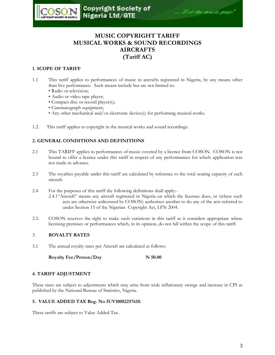

# **MUSIC COPYRIGHT TARIFF MUSICAL WORKS & SOUND RECORDINGS AIRCRAFTS (Tariff AC)**

#### **1. SCOPE OF TARIFF**

- 1.1 This tariff applies to performances of music in aircrafts registered in Nigeria, by any means other than live performance. Such means include but are not limited to:
	- Radio or television;
	- Audio or video tape player;
	- Compact disc or record player(s);
	- Cinematograph equipment;
	- Any other mechanical and/or electronic device(s) for performing musical works.
- 1.2. This tariff applies to copyright in the musical works and sound recordings.

#### **2. GENERAL CONDITIONS AND DEFINITIONS**

- 2.1 This TARIFF applies to performances of music covered by a licence from COSON. COSON is not bound to offer a licence under this tariff in respect of any performances for which application was not made in advance.
- 2.3 The royalties payable under this tariff are calculated by reference to the total seating capacity of each aircraft.
- 2.4 For the purposes of this tariff the following definitions shall apply:- 2.4.1"Aircraft" means any aircraft registered in Nigeria on which the licensee does, or (where such acts are otherwise unlicensed by COSON) authorises another to do any of the acts referred to under Section 15 of the Nigerian Copyright Act, LFN 2004.
- 2.5. COSON reserves the right to make such variations in this tariff as it considers appropriate where licensing premises or performances which, in its opinion, do not fall within the scope of this tariff.

#### 3. **ROYALTY RATES**

3.1 The annual royalty rates per Aircraft are calculated as follows:

**Royalty Fee/Person/Day N 50.00** 

#### **4. TARIFF ADJUSTMENT**

These rates are subject to adjustments which may arise from wide inflationary swings and increase in CPI as published by the National Bureau of Statistics, Nigeria.

#### **5. VALUE ADDED TAX Reg. No IUV10002257610.**

These tariffs are subject to Value Added Tax.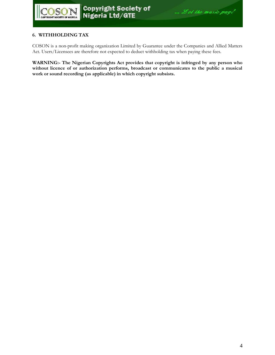#### **6. WITHHOLDING TAX**

COSON is a non-profit making organization Limited by Guarantee under the Companies and Allied Matters Act. Users/Licensees are therefore not expected to deduct withholding tax when paying these fees.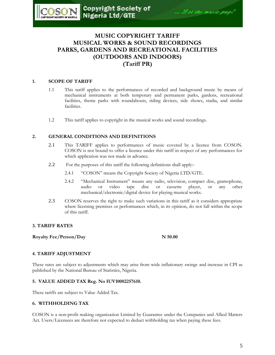# **MUSIC COPYRIGHT TARIFF MUSICAL WORKS & SOUND RECORDINGS PARKS, GARDENS AND RECREATIONAL FACILITIES (OUTDOORS AND INDOORS) (Tariff PR)**

#### **1. SCOPE OF TARIFF**

- 1.1 This tariff applies to the performances of recorded and background music by means of mechanical instruments at both temporary and permanent parks, gardens, recreational facilities, theme parks with roundabouts, riding devices, side shows, stadia, and similar facilities.
- 1.2 This tariff applies to copyright in the musical works and sound recordings.

#### **2. GENERAL CONDITIONS AND DEFINITIONS**

- 2.1 This TARIFF applies to performances of music covered by a licence from COSON. COSON is not bound to offer a licence under this tariff in respect of any performances for which application was not made in advance.
- 2.2 For the purposes of this tariff the following definitions shall apply:-
	- 2.4.1 "COSON" means the Copyright Society of Nigeria LTD/GTE.
	- 2.4.2 "Mechanical Instrument" means any radio, television, compact disc, gramophone, audio or video tape disc or cassette player, or any other mechanical/electronic/digital device for playing musical works.
- 2.3 COSON reserves the right to make such variations in this tariff as it considers appropriate where licensing premises or performances which, in its opinion, do not fall within the scope of this tariff.

#### **3. TARIFF RATES**

**Royalty Fee/Person/Day N 50.00**

#### **4. TARIFF ADJUSTMENT**

These rates are subject to adjustments which may arise from wide inflationary swings and increase in CPI as published by the National Bureau of Statistics, Nigeria.

#### **5. VALUE ADDED TAX Reg. No IUV10002257610.**

These tariffs are subject to Value Added Tax.

#### **6. WITHHOLDING TAX**

COSON is a non-profit making organization Limited by Guarantee under the Companies and Allied Matters Act. Users/Licensees are therefore not expected to deduct withholding tax when paying these fees.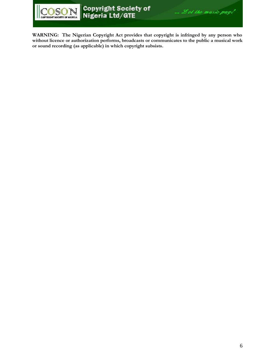

... Let the music pay!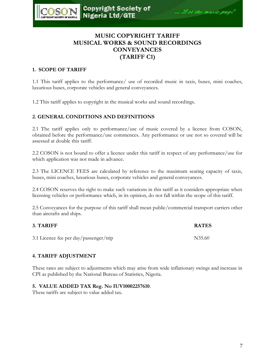

# **MUSIC COPYRIGHT TARIFF MUSICAL WORKS & SOUND RECORDINGS CONVEYANCES (TARIFF C1)**

# **1. SCOPE OF TARIFF**

1.1 This tariff applies to the performance/ use of recorded music in taxis, buses, mini coaches, luxurious buses, corporate vehicles and general conveyances.

1.2 This tariff applies to copyright in the musical works and sound recordings.

### **2. GENERAL CONDITIONS AND DEFINITIONS**

2.1 The tariff applies only to performance/use of music covered by a licence from COSON, obtained before the performance/use commences. Any performance or use not so covered will be assessed at double this tariff.

2.2 COSON is not bound to offer a licence under this tariff in respect of any performance/use for which application was not made in advance.

2.3 The LICENCE FEES are calculated by reference to the maximum seating capacity of taxis, buses, mini coaches, luxurious buses, corporate vehicles and general conveyances.

2.4 COSON reserves the right to make such variations in this tariff as it considers appropriate when licensing vehicles or performance which, in its opinion, do not fall within the scope of this tariff.

2.5 Conveyances for the purpose of this tariff shall mean public/commercial transport carriers other than aircrafts and ships.

| 3. TARIFF                              | <b>RATES</b> |
|----------------------------------------|--------------|
| 3.1 Licence fee per day/passenger/trip | N35.60       |

# **4. TARIFF ADJUSTMENT**

These rates are subject to adjustments which may arise from wide inflationary swings and increase in CPI as published by the National Bureau of Statistics, Nigeria.

### **5. VALUE ADDED TAX Reg. No IUV10002257610**.

These tariffs are subject to value added tax.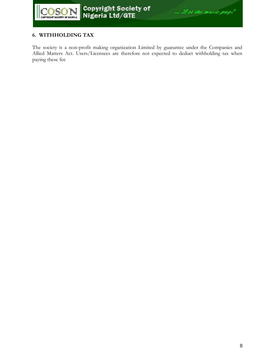

# **6. WITHHOLDING TAX**

The society is a non-profit making organization Limited by guarantee under the Companies and Allied Matters Act. Users/Licensees are therefore not expected to deduct withholding tax when paying these fee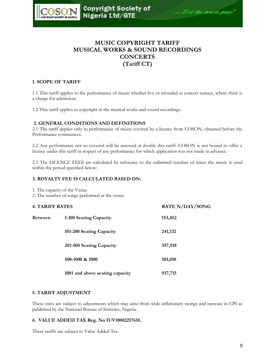

# **MUSIC COPYRIGHT TARIFF MUSICAL WORKS & SOUND RECORDINGS CONCERTS (Tariff CT)**

#### **1. SCOPE OF TARIFF**

1.1 This tariff applies to the performance of music whether live or recorded at concert venues, where there is a charge for admission.

1.2 This tariff applies to copyright in the musical works and sound recordings.

#### **2. GENERAL CONDITIONS AND DEFINITIONS**

2.1 The tariff applies only to performance of music covered by a licence from COSON, obtained before the Performance commences.

2.2 Any performance not so covered will be assessed at double this tariff. COSON is not bound to offer a licence under this tariff in respect of any performance for which application was not made in advance.

2.3 The LICENCE FEES are calculated by reference to the unlimited number of times the music is used within the period specified below:

#### **3. ROYALTY FEE IS CALCULATED BASED ON:**

1. The capacity of the Venue

2. The number of songs performed at the venue

#### **4. TARIFF RATES RATE N/DAY/SONG**

| <b>Between</b> | 1-100 Seating Capacity          | 153,452 |
|----------------|---------------------------------|---------|
|                | 101-200 Seating Capacity        | 241,132 |
|                | 201-500 Seating Capacity        | 357,918 |
|                | $500-1000$ & $1000$             | 501,010 |
|                | 1001 and above seating capacity | 937,715 |

#### **5. TARIFF ADJUSTMENT**

These rates are subject to adjustments which may arise from wide inflationary swings and increase in CPI as published by the National Bureau of Statistics, Nigeria.

#### **6. VALUE ADDED TAX Reg. No IUV10002257610.**

These tariffs are subject to Value Added Tax.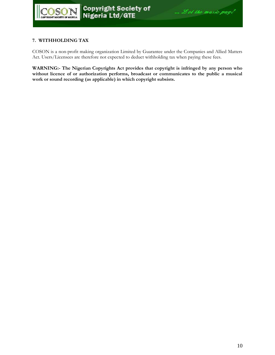### **7. WITHHOLDING TAX**

COSON is a non-profit making organization Limited by Guarantee under the Companies and Allied Matters Act. Users/Licensees are therefore not expected to deduct withholding tax when paying these fees.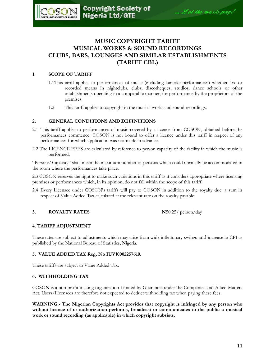# **MUSIC COPYRIGHT TARIFF MUSICAL WORKS & SOUND RECORDINGS CLUBS, BARS, LOUNGES AND SIMILAR ESTABLISHMENTS (TARIFF CBL)**

#### **1. SCOPE OF TARIFF**

**OSC** 

- 1.1This tariff applies to performances of music (including karaoke performances) whether live or recorded means in nightclubs, clubs, discotheques, studios, dance schools or other establishments operating in a comparable manner, for performance by the proprietors of the premises.
- 1.2 This tariff applies to copyright in the musical works and sound recordings.

#### **2. GENERAL CONDITIONS AND DEFINITIONS**

- 2.1 This tariff applies to performances of music covered by a licence from COSON, obtained before the performances commence. COSON is not bound to offer a licence under this tariff in respect of any performances for which application was not made in advance.
- 2.2 The LICENCE FEES are calculated by reference to person capacity of the facility in which the music is performed.

"Persons" Capacity" shall mean the maximum number of persons which could normally be accommodated in the room where the performances take place.

2.3 COSON reserves the right to make such variations in this tariff as it considers appropriate where licensing premises or performances which, in its opinion, do not fall within the scope of this tariff.

2.4 Every Licensee under COSON"s tariffs will pay to COSON in addition to the royalty due, a sum in respect of Value Added Tax calculated at the relevant rate on the royalty payable.

#### **3. ROYALTY RATES N**50.25/ person/day

#### **4. TARIFF ADJUSTMENT**

These rates are subject to adjustments which may arise from wide inflationary swings and increase in CPI as published by the National Bureau of Statistics, Nigeria.

#### **5. VALUE ADDED TAX Reg. No IUV10002257610.**

These tariffs are subject to Value Added Tax.

#### **6. WITHHOLDING TAX**

COSON is a non-profit making organization Limited by Guarantee under the Companies and Allied Matters Act. Users/Licensees are therefore not expected to deduct withholding tax when paying these fees.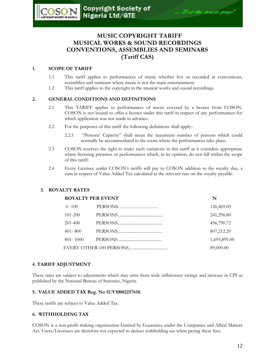# **MUSIC COPYRIGHT TARIFF MUSICAL WORKS & SOUND RECORDINGS CONVENTIONS, ASSEMBLIES AND SEMINARS (Tariff CAS)**

# **1. SCOPE OF TARIFF**

 $OS($ 

- 1.1 This tariff applies to performances of music whether live or recorded at conventions, assemblies and seminars where music is not the main entertainment.
- 1.2 This tariff applies to the copyright in the musical works and sound recordings.

# **2. GENERAL CONDITIONS AND DEFINITIONS**

- 2.1 This TARIFF applies to performances of music covered by a licence from COSON. COSON is not bound to offer a licence under this tariff in respect of any performances for which application was not made in advance.
- 2.2 For the purposes of this tariff the following definitions shall apply:-
	- 2.2.1 "Persons" Capacity" shall mean the maximum number of persons which could normally be accommodated in the room where the performances take place.
- 2.3 COSON reserves the right to make such variations in this tariff as it considers appropriate where licensing premises or performances which, in its opinion, do not fall within the scope of this tariff.
- 2.4 Every Licensee under COSON"s tariffs will pay to COSON addition to the royalty due, a sum in respect of Value Added Tax calculated at the relevant rate on the royalty payable.

# **3. ROYALTY RATES**

|              | <b>ROYALTY PER EVENT</b> | N            |
|--------------|--------------------------|--------------|
| $0 - 100$    | PERSONS                  | 126,469.00   |
| $101 - 200$  |                          | 241,296.80   |
| $201 - 400$  |                          | 456,790.72   |
| $401 - 800$  |                          | 807,212.20   |
| $801 - 1000$ |                          | 1,695,895.00 |
|              |                          | 89,000.00    |

# **4. TARIFF ADJUSTMENT**

These rates are subject to adjustments which may arise from wide inflationary swings and increase in CPI as published by the National Bureau of Statistics, Nigeria.

# **5. VALUE ADDED TAX Reg. No IUV10002257610.**

These tariffs are subject to Value Added Tax.

# **6. WITHHOLDING TAX**

COSON is a non-profit making organization Limited by Guarantee under the Companies and Allied Matters Act. Users/Licensees are therefore not expected to deduct withholding tax when paying these fees.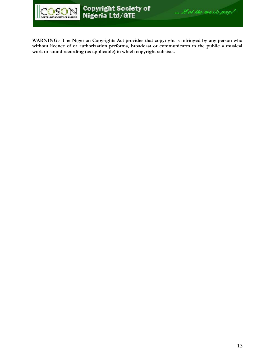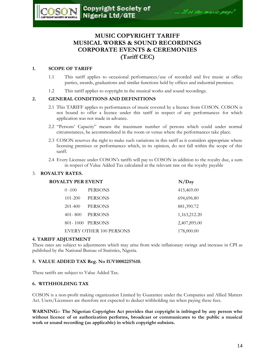# **MUSIC COPYRIGHT TARIFF MUSICAL WORKS & SOUND RECORDINGS CORPORATE EVENTS & CEREMONIES (Tariff CEC)**

# **1. SCOPE OF TARIFF**

- 1.1 This tariff applies to occasional performances/use of recorded and live music at office parties, awards, graduations and similar functions held by offices and industrial premises.
- 1.2 This tariff applies to copyright in the musical works and sound recordings.

# **2. GENERAL CONDITIONS AND DEFINITIONS**

- 2.1 This TARIFF applies to performances of music covered by a licence from COSON. COSON is not bound to offer a licence under this tariff in respect of any performances for which application was not made in advance.
- 2.2 "Persons" Capacity" means the maximum number of persons which could under normal circumstances, be accommodated in the room or venue where the performances take place.
- 2.3 COSON reserves the right to make such variations in this tariff as it considers appropriate where licensing premises or performances which, in its opinion, do not fall within the scope of this tariff.
- 2.4 Every Licensee under COSON"s tariffs will pay to COSON in addition to the royalty due, a sum in respect of Value Added Tax calculated at the relevant rate on the royalty payable

# 3. **ROYALTY RATES.**

| <b>ROYALTY PER EVENT</b> |                                | N/Day        |
|--------------------------|--------------------------------|--------------|
| $0 - 100$                | <b>PERSONS</b>                 | 415,469.00   |
| $101 - 200$              | <b>PERSONS</b>                 | 694,696.80   |
| $201 - 400$              | <b>PERSONS</b>                 | 881,390.72   |
| $401 - 800$              | <b>PERSONS</b>                 | 1,163,212.20 |
|                          | 801-1000 PERSONS               | 2,407,895.00 |
|                          | <b>EVERY OTHER 100 PERSONS</b> | 178,000.00   |

# **4. TARIFF ADJUSTMENT**

These rates are subject to adjustments which may arise from wide inflationary swings and increase in CPI as published by the National Bureau of Statistics, Nigeria.

# **5. VALUE ADDED TAX Reg. No IUV10002257610.**

These tariffs are subject to Value Added Tax.

# **6. WITHHOLDING TAX**

COSON is a non-profit making organization Limited by Guarantee under the Companies and Allied Matters Act. Users/Licensees are therefore not expected to deduct withholding tax when paying these fees.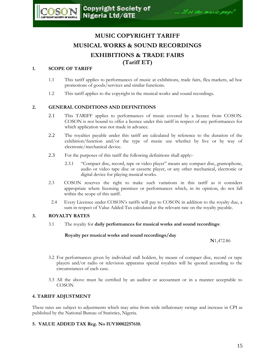# **MUSIC COPYRIGHT TARIFF MUSICAL WORKS & SOUND RECORDINGS EXHIBITIONS & TRADE FAIRS (Tariff ET)**

# **1. SCOPE OF TARIFF**

**OSON** 

COPYRIGHT SOCIETY OF NIGERIA

- 1.1 This tariff applies to performances of music at exhibitions, trade fairs, flea markets, ad hoc promotions of goods/services and similar functions.
- 1.2 This tariff applies to the copyright in the musical works and sound recordings.

# **2. GENERAL CONDITIONS AND DEFINITIONS**

- 2.1 This TARIFF applies to performances of music covered by a licence from COSON. COSON is not bound to offer a licence under this tariff in respect of any performances for which application was not made in advance.
- 2.2 The royalties payable under this tariff are calculated by reference to the duration of the exhibition/function and/or the type of music use whether by live or by way of electronic/mechanical device.
- 2.3 For the purposes of this tariff the following definitions shall apply:-
	- 2.3.1 "Compact disc, record, tape or video player" means any compact disc, gramophone, audio or video tape disc or cassette player, or any other mechanical, electronic or digital device for playing musical works.
- 2.3 COSON reserves the right to make such variations in this tariff as it considers appropriate where licensing premises or performances which, in its opinion, do not fall within the scope of this tariff.
- 2.4 Every Licensee under COSON"s tariffs will pay to COSON in addition to the royalty due, a sum in respect of Value Added Tax calculated at the relevant rate on the royalty payable.

# **3. ROYALTY RATES**

3.1 The royalty for **daily performances for musical works and sound recordings**:

**Royalty per musical works and sound recordings/day**

**N**1,472.86

- 3.2 For performances given by individual stall holders, by means of compact disc, record or tape players and/or radio or television apparatus special royalties will be quoted according to the circumstances of each case.
- 3.3 All the above must be certified by an auditor or accountant or in a manner acceptable to COSON

# **4. TARIFF ADJUSTMENT**

These rates are subject to adjustments which may arise from wide inflationary swings and increase in CPI as published by the National Bureau of Statistics, Nigeria.

# **5. VALUE ADDED TAX Reg. No IUV10002257610.**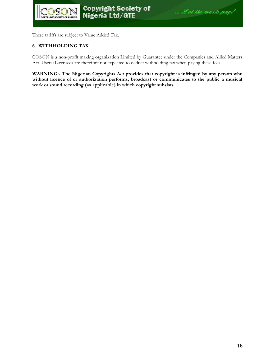These tariffs are subject to Value Added Tax.

#### **6. WITHHOLDING TAX**

COSON is a non-profit making organization Limited by Guarantee under the Companies and Allied Matters Act. Users/Licensees are therefore not expected to deduct withholding tax when paying these fees.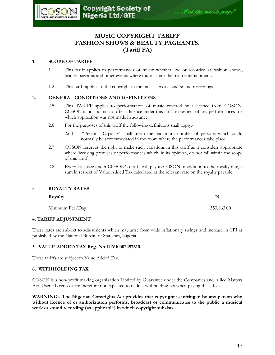# **MUSIC COPYRIGHT TARIFF FASHION SHOWS & BEAUTY PAGEANTS. (Tariff FA)**

# **1. SCOPE OF TARIFF**

**OSC** 

- 1.1 This tariff applies to performances of music whether live or recorded at fashion shows, beauty pageants and other events where music is not the main entertainment.
- 1.2 This tariff applies to the copyright in the musical works and sound recordings

# **2. GENERAL CONDITIONS AND DEFINITIONS**

- 2.5 This TARIFF applies to performances of music covered by a licence from COSON. COSON is not bound to offer a licence under this tariff in respect of any performances for which application was not made in advance.
- 2.6 For the purposes of this tariff the following definitions shall apply:-
	- 2.6.1 "Persons" Capacity" shall mean the maximum number of persons which could normally be accommodated in the room where the performances take place.
- 2.7 COSON reserves the right to make such variations in this tariff as it considers appropriate where licensing premises or performances which, in its opinion, do not fall within the scope of this tariff.
- 2.8 Every Licensee under COSON"s tariffs will pay to COSON in addition to the royalty due, a sum in respect of Value Added Tax calculated at the relevant rate on the royalty payable.

### **3 ROYALTY RATES**

| Royalty         | N          |
|-----------------|------------|
| Minimum Fee/Day | 353,863.00 |

# **4. TARIFF ADJUSTMENT**

These rates are subject to adjustments which may arise from wide inflationary swings and increase in CPI as published by the National Bureau of Statistics, Nigeria.

# **5. VALUE ADDED TAX Reg. No IUV10002257610.**

These tariffs are subject to Value Added Tax.

# **6. WITHHOLDING TAX**

COSON is a non-profit making organization Limited by Guarantee under the Companies and Allied Matters Act. Users/Licensees are therefore not expected to deduct withholding tax when paying these fees.

**WARNING:- The Nigerian Copyrights Act provides that copyright is infringed by any person who without licence of or authorization performs, broadcast or communicates to the public a musical work or sound recording (as applicable) in which copyright subsists.** 

Copyright Society of<br>Nigeria Ltd/GTE ... Let the music pay!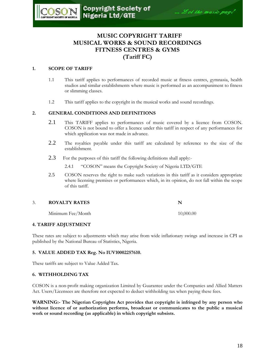

# **MUSIC COPYRIGHT TARIFF MUSICAL WORKS & SOUND RECORDINGS FITNESS CENTRES & GYMS (Tariff FC)**

#### **1. SCOPE OF TARIFF**

- 1.1 This tariff applies to performances of recorded music at fitness centres, gymnasia, health studios and similar establishments where music is performed as an accompaniment to fitness or slimming classes.
- 1.2 This tariff applies to the copyright in the musical works and sound recordings.

#### **2. GENERAL CONDITIONS AND DEFINITIONS**

- 2.1 This TARIFF applies to performances of music covered by a licence from COSON. COSON is not bound to offer a licence under this tariff in respect of any performances for which application was not made in advance.
- 2.2 The royalties payable under this tariff are calculated by reference to the size of the establishment.
- 2.3 For the purposes of this tariff the following definitions shall apply:-

2.4.1 "COSON" means the Copyright Society of Nigeria LTD/GTE

2.5 COSON reserves the right to make such variations in this tariff as it considers appropriate where licensing premises or performances which, in its opinion, do not fall within the scope of this tariff.

#### 3. **ROYALTY RATES N**

Minimum Fee/Month 10,000.00

#### **4. TARIFF ADJUSTMENT**

These rates are subject to adjustments which may arise from wide inflationary swings and increase in CPI as published by the National Bureau of Statistics, Nigeria.

#### **5. VALUE ADDED TAX Reg. No IUV10002257610.**

These tariffs are subject to Value Added Tax.

#### **6. WITHHOLDING TAX**

COSON is a non-profit making organization Limited by Guarantee under the Companies and Allied Matters Act. Users/Licensees are therefore not expected to deduct withholding tax when paying these fees.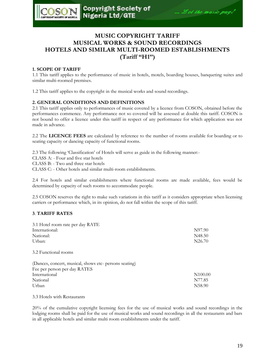

# **MUSIC COPYRIGHT TARIFF MUSICAL WORKS & SOUND RECORDINGS HOTELS AND SIMILAR MULTI-ROOMED ESTABLISHMENTS (Tariff ''H1'')**

#### **1. SCOPE OF TARIFF**

1.1 This tariff applies to the performance of music in hotels, motels, boarding houses, banqueting suites and similar multi-roomed premises.

1.2 This tariff applies to the copyright in the musical works and sound recordings.

#### **2. GENERAL CONDITIONS AND DEFINITIONS**

2.1 This tariff applies only to performances of music covered by a licence from COSON, obtained before the performances commence. Any performance not so covered will be assessed at double this tariff. COSON is not bound to offer a licence under this tariff in respect of any performance for which application was not made in advance.

2.2 The **LICENCE FEES** are calculated by reference to the number of rooms available for boarding or to seating capacity or dancing capacity of functional rooms.

2.3 The following "Classification" of Hotels will serve as guide in the following manner:-

CLASS A: - Four and five star hotels

CLASS B: - Two and three star hotels

CLASS C: - Other hotels and similar multi-room establishments.

2.4 For hotels and similar establishments where functional rooms are made available, fees would be determined by capacity of such rooms to accommodate people.

2.5 COSON reserves the right to make such variations in this tariff as it considers appropriate when licensing carriers or performance which, in its opinion, do not fall within the scope of this tariff.

#### **3**. **TARIFF RATES**

| 3.1 Hotel room rate per day RATE                       |                    |
|--------------------------------------------------------|--------------------|
| International:                                         | N97.90             |
| National:                                              | N48.50             |
| Urban:                                                 | N <sub>26.70</sub> |
| 3.2 Functional rooms                                   |                    |
| (Dances, concert, musical, shows etc- persons seating) |                    |
| Fee per person per day RATES                           |                    |

| Tec per person per day territion |                     |
|----------------------------------|---------------------|
| International                    | N <sub>100.00</sub> |
| National                         | N77.85              |
| Urban                            | N <sub>58.90</sub>  |

3.3 Hotels with Restaurants

20% of the cumulative copyright licensing fees for the use of musical works and sound recordings in the lodging rooms shall be paid for the use of musical works and sound recordings in all the restaurants and bars in all applicable hotels and similar multi room establishments under the tariff.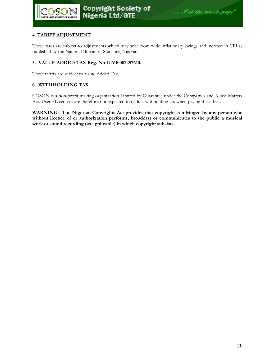#### **4. TARIFF ADJUSTMENT**

These rates are subject to adjustments which may arise from wide inflationary swings and increase in CPI as published by the National Bureau of Statistics, Nigeria.

#### **5. VALUE ADDED TAX Reg. No IUV10002257610.**

These tariffs are subject to Value Added Tax.

#### **6. WITHHOLDING TAX**

COSON is a non-profit making organization Limited by Guarantee under the Companies and Allied Matters Act. Users/Licensees are therefore not expected to deduct withholding tax when paying these fees.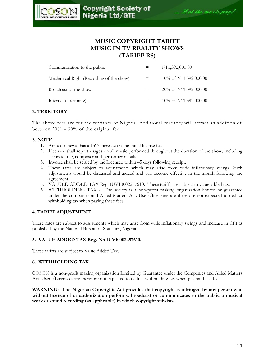

# **MUSIC COPYRIGHT TARIFF MUSIC IN TV REALITY SHOWS (TARIFF RS)**

| Communication to the public              | N11,392,000.00         |
|------------------------------------------|------------------------|
| Mechanical Right (Recording of the show) | 10\% of N11,392,000.00 |
| Broadcast of the show                    | 20\% of N11,392,000.00 |
| Internet (streaming)                     | 10% of N11,392,000.00  |

#### **2. TERRITORY**

The above fees are for the territory of Nigeria. Additional territory will attract an addition of between  $20\%$  –  $30\%$  of the original fee

#### **3. NOTE**

- 1. Annual renewal has a 15% increase on the initial license fee
- 2. Licensee shall report usages on all music performed throughout the duration of the show, including accurate title, composer and performer details.
- 3. Invoice shall be settled by the Licensee within 45 days following receipt.
- 4. These rates are subject to adjustments which may arise from wide inflationary swings. Such adjustments would be discussed and agreed and will become effective in the month following the agreement.
- 5. VALUED ADDED TAX Reg. IUV10002257610. These tariffs are subject to value added tax.
- 6. WITHHOLDING TAX The society is a non-profit making organization limited by guarantee under the companies and Allied Matters Act. Users/licensees are therefore not expected to deduct withholding tax when paying these fees.

#### **4. TARIFF ADJUSTMENT**

These rates are subject to adjustments which may arise from wide inflationary swings and increase in CPI as published by the National Bureau of Statistics, Nigeria.

#### **5. VALUE ADDED TAX Reg. No IUV10002257610.**

These tariffs are subject to Value Added Tax.

#### **6. WITHHOLDING TAX**

COSON is a non-profit making organization Limited by Guarantee under the Companies and Allied Matters Act. Users/Licensees are therefore not expected to deduct withholding tax when paying these fees.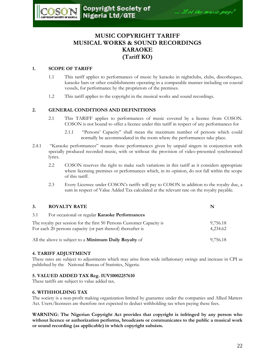# **MUSIC COPYRIGHT TARIFF MUSICAL WORKS & SOUND RECORDINGS KARAOKE (Tariff KO)**

#### **1. SCOPE OF TARIFF**

- 1.1 This tariff applies to performances of music by karaoke in nightclubs, clubs, discotheques, karaoke bars or other establishments operating in a comparable manner including on coastal vessels, for performance by the proprietors of the premises.
- 1.2 This tariff applies to the copyright in the musical works and sound recordings.

#### **2. GENERAL CONDITIONS AND DEFINITIONS**

- 2.1 This TARIFF applies to performances of music covered by a licence from COSON. COSON is not bound to offer a licence under this tariff in respect of any performances for
	- 2.1.1 "Persons" Capacity" shall mean the maximum number of persons which could normally be accommodated in the room where the performances take place.
- 2.4.1 "Karaoke performances" means those performances given by unpaid singers in conjunction with specially produced recorded music, with or without the provision of video-presented synchronised lyrics.
	- 2.2 COSON reserves the right to make such variations in this tariff as it considers appropriate where licensing premises or performances which, in its opinion, do not fall within the scope of this tariff.
	- 2.3 Every Licensee under COSON"s tariffs will pay to COSON in addition to the royalty due, a sum in respect of Value Added Tax calculated at the relevant rate on the royalty payable.

| 3.  | <b>ROYALTY RATE</b>                                                                                                                   |                      |
|-----|---------------------------------------------------------------------------------------------------------------------------------------|----------------------|
| 3.1 | For occasional or regular Karaoke Performances                                                                                        |                      |
|     | The royalty per session for the first 50 Persons Customer Capacity is<br>For each 20 persons capacity (or part thereof) thereafter is | 9,756.18<br>4.234.62 |
|     | All the above is subject to a <b>Minimum Daily Royalty</b> of                                                                         | 9,756.18             |

#### **4. TARIFF ADJUSTMENT**

These rates are subject to adjustments which may arise from wide inflationary swings and increase in CPI as published by the National Bureau of Statistics, Nigeria.

#### **5. VALUED ADDED TAX Reg. IUV10002257610**

These tariffs are subject to value added tax.

#### **6. WITHHOLDING TAX**

The society is a non-profit making organization limited by guarantee under the companies and Allied Matters Act. Users/licensees are therefore not expected to deduct withholding tax when paying these fees.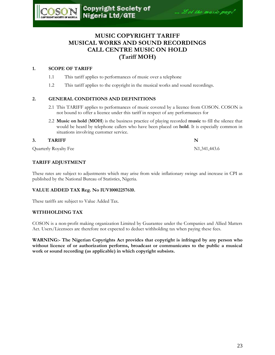# **MUSIC COPYRIGHT TARIFF MUSICAL WORKS AND SOUND RECORDINGS CALL CENTRE MUSIC ON HOLD (Tariff MOH)**

# **1. SCOPE OF TARIFF**

)S(

COPYRIGHT SOCIETY OF NIGHTIA

- 1.1 This tariff applies to performances of music over a telephone
- 1.2 This tariff applies to the copyright in the musical works and sound recordings.

# **2. GENERAL CONDITIONS AND DEFINITIONS**

- 2.1 This TARIFF applies to performances of music covered by a licence from COSON. COSON is not bound to offer a licence under this tariff in respect of any performances for
- 2.2 **Music on hold** (**MOH**) is the business practice of playing recorded **music** to fill the silence that would be heard by telephone callers who have been placed on **hold**. It is especially common in situations involving customer service.

#### **3.** TARIFF N

Quarterly Royalty Fee N1,341,443.6

### **TARIFF ADJUSTMENT**

These rates are subject to adjustments which may arise from wide inflationary swings and increase in CPI as published by the National Bureau of Statistics, Nigeria.

### **VALUE ADDED TAX Reg. No IUV10002257610.**

These tariffs are subject to Value Added Tax.

### **WITHHOLDING TAX**

COSON is a non-profit making organization Limited by Guarantee under the Companies and Allied Matters Act. Users/Licensees are therefore not expected to deduct withholding tax when paying these fees.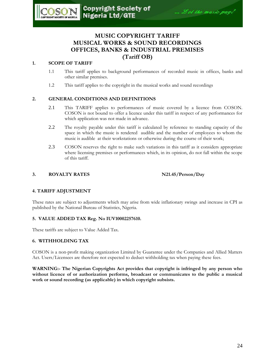# **MUSIC COPYRIGHT TARIFF MUSICAL WORKS & SOUND RECORDINGS OFFICES, BANKS & INDUSTRIAL PREMISES (Tariff OB)**

# **1. SCOPE OF TARIFF**

 $DS($ 

- 1.1 This tariff applies to background performances of recorded music in offices, banks and other similar premises.
- 1.2 This tariff applies to the copyright in the musical works and sound recordings

# **2. GENERAL CONDITIONS AND DEFINITIONS**

- 2.1 This TARIFF applies to performances of music covered by a licence from COSON. COSON is not bound to offer a licence under this tariff in respect of any performances for which application was not made in advance.
- 2.2 The royalty payable under this tariff is calculated by reference to standing capacity of the space in which the music is rendered audible and the number of employees to whom the music is audible at their workstations or otherwise during the course of their work;
- 2.3 COSON reserves the right to make such variations in this tariff as it considers appropriate where licensing premises or performances which, in its opinion, do not fall within the scope of this tariff.

# **3. ROYALTY RATES N21.45/Person/Day**

### **4. TARIFF ADJUSTMENT**

These rates are subject to adjustments which may arise from wide inflationary swings and increase in CPI as published by the National Bureau of Statistics, Nigeria.

#### **5. VALUE ADDED TAX Reg. No IUV10002257610.**

These tariffs are subject to Value Added Tax.

### **6. WITHHOLDING TAX**

COSON is a non-profit making organization Limited by Guarantee under the Companies and Allied Matters Act. Users/Licensees are therefore not expected to deduct withholding tax when paying these fees.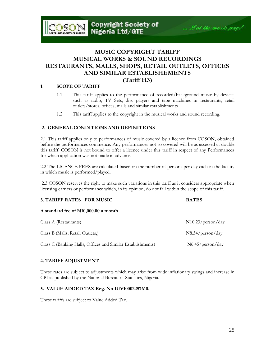# **MUSIC COPYRIGHT TARIFF MUSICAL WORKS & SOUND RECORDINGS RESTAURANTS, MALLS, SHOPS, RETAIL OUTLETS, OFFICES AND SIMILAR ESTABLISHEMENTS (Tariff H3)**

#### **1. SCOPE OF TARIFF**

- 1.1 This tariff applies to the performance of recorded/background music by devices such as radio, TV Sets, disc players and tape machines in restaurants, retail outlets/stores, offices, malls and similar establishments
- 1.2 This tariff applies to the copyright in the musical works and sound recording.

#### **2. GENERAL CONDITIONS AND DEFINITIONS**

2.1 This tariff applies only to performances of music covered by a licence from COSON, obtained before the performances commence. Any performances not so covered will be as assessed at double this tariff. COSON is not bound to offer a licence under this tariff in respect of any Performances for which application was not made in advance.

2.2 The LICENCE FEES are calculated based on the number of persons per day each in the facility in which music is performed/played.

2.3 COSON reserves the right to make such variations in this tariff as it considers appropriate when licensing carriers or performance which, in its opinion, do not fall within the scope of this tariff.

| 3. TARIFF RATES FOR MUSIC            | <b>RATES</b>      |
|--------------------------------------|-------------------|
| A standard fee of N10,000.00 a month |                   |
| Class A (Restaurants)                | N10.23/person/day |
| Class B (Malls, Retail Outlets,)     | N8.34/person/day  |
|                                      |                   |

Class C (Banking Halls, Offices and Similar Establishments) N6.45/person/day

# **4. TARIFF ADJUSTMENT**

These rates are subject to adjustments which may arise from wide inflationary swings and increase in CPI as published by the National Bureau of Statistics, Nigeria.

#### **5. VALUE ADDED TAX Reg. No IUV10002257610.**

These tariffs are subject to Value Added Tax.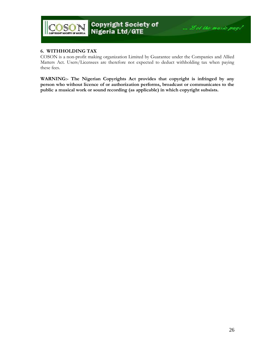

#### **6. WITHHOLDING TAX**

COSON is a non-profit making organization Limited by Guarantee under the Companies and Allied Matters Act. Users/Licensees are therefore not expected to deduct withholding tax when paying these fees.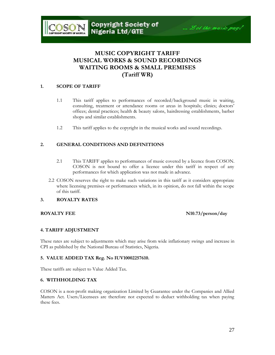# **MUSIC COPYRIGHT TARIFF MUSICAL WORKS & SOUND RECORDINGS WAITING ROOMS & SMALL PREMISES (Tariff WR)**

#### **1. SCOPE OF TARIFF**

**OSON** 

- 1.1 This tariff applies to performances of recorded/background music in waiting, consulting, treatment or attendance rooms or areas in hospitals; clinics; doctors' offices; dental practices; health & beauty salons, hairdressing establishments, barber shops and similar establishments.
- 1.2 This tariff applies to the copyright in the musical works and sound recordings.

#### **2. GENERAL CONDITIONS AND DEFINITIONS**

- 2.1 This TARIFF applies to performances of music covered by a licence from COSON. COSON is not bound to offer a licence under this tariff in respect of any performances for which application was not made in advance.
- 2.2 COSON reserves the right to make such variations in this tariff as it considers appropriate where licensing premises or performances which, in its opinion, do not fall within the scope of this tariff.

#### **3. ROYALTY RATES**

#### **ROYALTY FEE N10.73/person/day**

#### **4. TARIFF ADJUSTMENT**

These rates are subject to adjustments which may arise from wide inflationary swings and increase in CPI as published by the National Bureau of Statistics, Nigeria.

#### **5. VALUE ADDED TAX Reg. No IUV10002257610.**

These tariffs are subject to Value Added Tax.

#### **6. WITHHOLDING TAX**

COSON is a non-profit making organization Limited by Guarantee under the Companies and Allied Matters Act. Users/Licensees are therefore not expected to deduct withholding tax when paying these fees.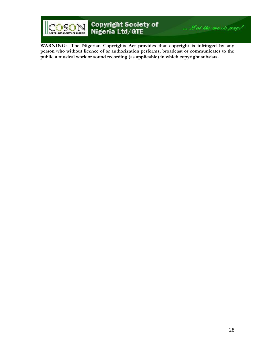

# Copyright Society of<br>Nigeria Ltd/GTE

**WARNING:- The Nigerian Copyrights Act provides that copyright is infringed by any person who without licence of or authorization performs, broadcast or communicates to the public a musical work or sound recording (as applicable) in which copyright subsists.** 

... Let the music pay!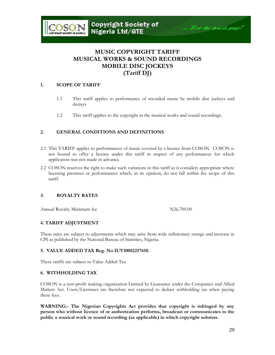

# **MUSIC COPYRIGHT TARIFF MUSICAL WORKS & SOUND RECORDINGS MOBILE DISC JOCKEYS (Tariff DJ)**

#### **1. SCOPE OF TARIFF**

- 1.1 This tariff applies to performance of recorded music by mobile disc jockeys and deejays
- 1.2 This tariff applies to the copyright in the musical works and sound recordings.

#### **2. GENERAL CONDITIONS AND DEFINITIONS**

- 2.1 This TARIFF applies to performances of music covered by a licence from COSON. COSON is not bound to offer a licence under this tariff in respect of any performances for which application was not made in advance.
- 2.2 COSON reserves the right to make such variations in this tariff as it considers appropriate where licensing premises or performances which, in its opinion, do not fall within the scope of this tariff.

#### **3. ROYALTY RATES**

Annual Royalty Minimum fee N26,700.00

#### **4. TARIFF ADJUSTMENT**

These rates are subject to adjustments which may arise from wide inflationary swings and increase in CPI as published by the National Bureau of Statistics, Nigeria.

#### **5. VALUE ADDED TAX Reg. No IUV10002257610.**

These tariffs are subject to Value Added Tax.

#### **6. WITHHOLDING TAX**

COSON is a non-profit making organization Limited by Guarantee under the Companies and Allied Matters Act. Users/Licensees are therefore not expected to deduct withholding tax when paying these fees.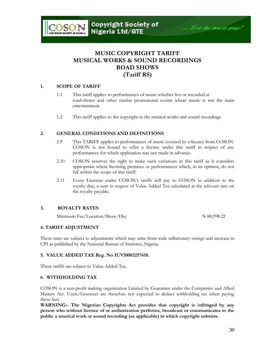# **MUSIC COPYRIGHT TARIFF MUSICAL WORKS & SOUND RECORDINGS ROAD SHOWS (Tariff RS)**

#### **1. SCOPE OF TARIFF**

OSON

- 1.1 This tariff applies to performances of music whether live or recorded at road-shows and other similar promotional events where music is not the main entertainment.
- 1.2 This tariff applies to the copyright in the musical works and sound recordings

#### **2. GENERAL CONDITIONS AND DEFINITIONS**

- 2.9 This TARIFF applies to performances of music covered by a licence from COSON. COSON is not bound to offer a licence under this tariff in respect of any performances for which application was not made in advance.
- 2.10 COSON reserves the right to make such variations in this tariff as it considers appropriate where licensing premises or performances which, in its opinion, do not fall within the scope of this tariff.
- 2.11 Every Licensee under COSON"s tariffs will pay to COSON in addition to the royalty due, a sum in respect of Value Added Tax calculated at the relevant rate on the royalty payable.

#### **3. ROYALTY RATES**

Minimum Fee/Location/Show/Day N 88,998.22

#### **4. TARIFF ADJUSTMENT**

These rates are subject to adjustments which may arise from wide inflationary swings and increase in CPI as published by the National Bureau of Statistics, Nigeria.

#### **5. VALUE ADDED TAX Reg. No IUV10002257610.**

These tariffs are subject to Value Added Tax.

#### **6. WITHHOLDING TAX**

COSON is a non-profit making organization Limited by Guarantee under the Companies and Allied Matters Act. Users/Licensees are therefore not expected to deduct withholding tax when paying these fees.